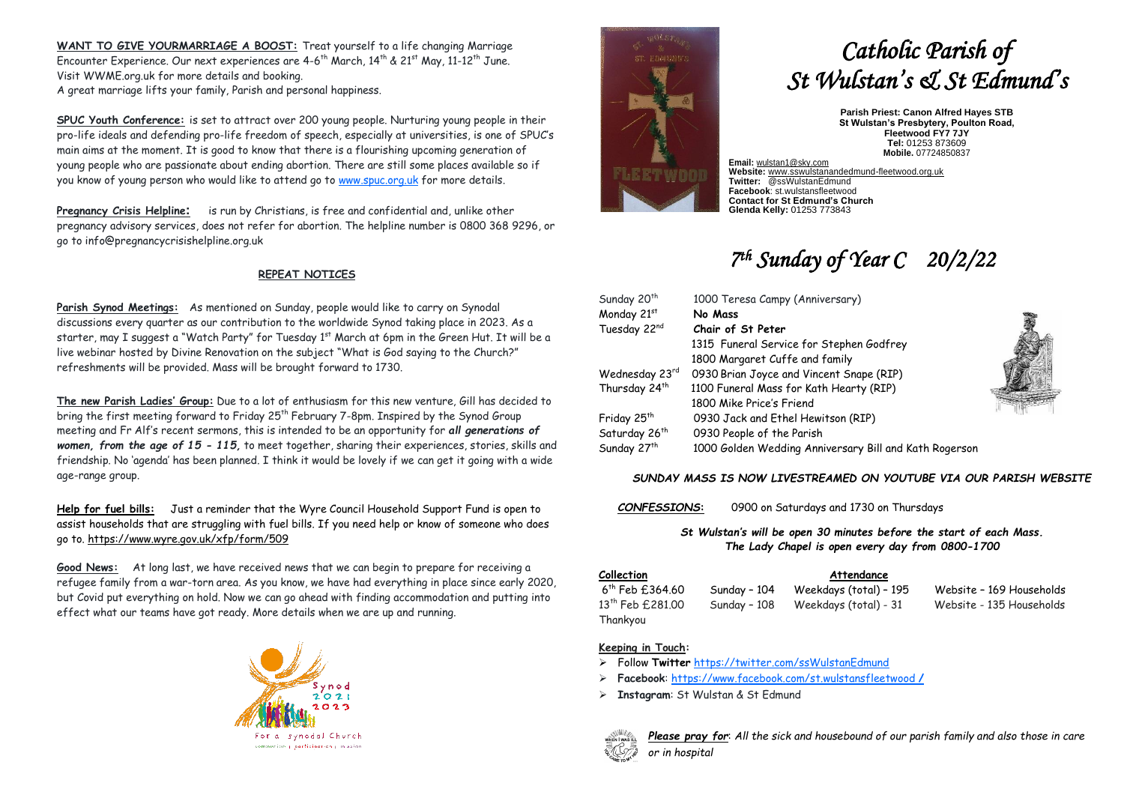**WANT TO GIVE YOURMARRIAGE A BOOST:** Treat yourself to a life changing Marriage Encounter Experience. Our next experiences are 4-6<sup>th</sup> March, 14<sup>th</sup> & 21<sup>st</sup> May, 11-12<sup>th</sup> June. Visit WWME.org.uk for more details and booking. A great marriage lifts your family, Parish and personal happiness.

**SPUC Youth Conference:** is set to attract over 200 young people. Nurturing young people in their pro-life ideals and defending pro-life freedom of speech, especially at universities, is one of SPUC's main aims at the moment. It is good to know that there is a flourishing upcoming generation of young people who are passionate about ending abortion. There are still some places available so if you know of young person who would like to attend go t[o www.spuc.org.uk](http://www.spuc.org.uk/) for more details.

**Pregnancy Crisis Helpline:** is run by Christians, is free and confidential and, unlike other pregnancy advisory services, does not refer for abortion. The helpline number is 0800 368 9296, or go to info@pregnancycrisishelpline.org.uk

## **REPEAT NOTICES**

**Parish Synod Meetings:** As mentioned on Sunday, people would like to carry on Synodal discussions every quarter as our contribution to the worldwide Synod taking place in 2023. As a starter, may I suggest a "Watch Party" for Tuesday 1<sup>st</sup> March at 6pm in the Green Hut. It will be a live webinar hosted by Divine Renovation on the subject "What is God saying to the Church?" refreshments will be provided. Mass will be brought forward to 1730.

**The new Parish Ladies' Group:** Due to a lot of enthusiasm for this new venture, Gill has decided to bring the first meeting forward to Friday 25<sup>th</sup> February 7-8pm. Inspired by the Synod Group meeting and Fr Alf's recent sermons, this is intended to be an opportunity for *all generations of women, from the age of 15 - 115,* to meet together, sharing their experiences, stories, skills and friendship. No 'agenda' has been planned. I think it would be lovely if we can get it going with a wide age-range group.

**Help for fuel bills:** Just a reminder that the Wyre Council Household Support Fund is open to assist households that are struggling with fuel bills. If you need help or know of someone who does go to. <https://www.wyre.gov.uk/xfp/form/509>

**Good News:** At long last, we have received news that we can begin to prepare for receiving a refugee family from a war-torn area. As you know, we have had everything in place since early 2020, but Covid put everything on hold. Now we can go ahead with finding accommodation and putting into effect what our teams have got ready. More details when we are up and running.





# *Catholic Parish of St Wulstan's & St Edmund's*

**Parish Priest: Canon Alfred Hayes STB St Wulstan's Presbytery, Poulton Road, Fleetwood FY7 7JY Tel:** 01253 873609 **Mobile.** 07724850837

**Email:** [wulstan1@sky.com](mailto:wulstan1@sky.com) **Website:** [www.sswulstanandedmund-fleetwood.org.uk](http://www.sswulstanandedmund-fleetwood.org.uk/) **Twitter:** @ssWulstanEdmund **Facebook**: st.wulstansfleetwood **Contact for St Edmund's Church Glenda Kelly:** 01253 773843

# *7 th Sunday of Year C 20/2/22*

| Sunday 20 <sup>th</sup>   | 1000 Teresa Campy (Anniversary)                        |  |
|---------------------------|--------------------------------------------------------|--|
| Monday 21st               | No Mass                                                |  |
| Tuesday 22nd              | Chair of St Peter                                      |  |
|                           | 1315 Funeral Service for Stephen Godfrey               |  |
|                           | 1800 Margaret Cuffe and family                         |  |
| Wednesday 23rd            | 0930 Brian Joyce and Vincent Snape (RIP)               |  |
| Thursday 24 <sup>th</sup> | 1100 Funeral Mass for Kath Hearty (RIP)                |  |
|                           | 1800 Mike Price's Friend                               |  |
| Friday 25 <sup>th</sup>   | 0930 Jack and Ethel Hewitson (RIP)                     |  |
| Saturday 26 <sup>th</sup> | 0930 People of the Parish                              |  |
| Sunday 27 <sup>th</sup>   | 1000 Golden Wedding Anniversary Bill and Kath Rogerson |  |

#### *SUNDAY MASS IS NOW LIVESTREAMED ON YOUTUBE VIA OUR PARISH WEBSITE*

*CONFESSIONS***:** 0900 on Saturdays and 1730 on Thursdays

*St Wulstan's will be open 30 minutes before the start of each Mass. The Lady Chapel is open every day from 0800-1700*

#### **Collection Attendance**

 $6<sup>th</sup>$  Feb  $f$  364 60 Thankyou

Sunday - 104 Weekdays (total) - 195 Website - 169 Households 13th Feb £281.00 Sunday – 108 Weekdays (total) - 31 Website - 135 Households

### **Keeping in Touch:**

- ➢ Follow **Twitter** <https://twitter.com/ssWulstanEdmund>
- ➢ **Facebook**: https://www.facebook.com/st.wulstansfleetwood **/**
- ➢ **Instagram**: St Wulstan & St Edmund



*Please pray for*: *All the sick and housebound of our parish family and also those in care or in hospital*